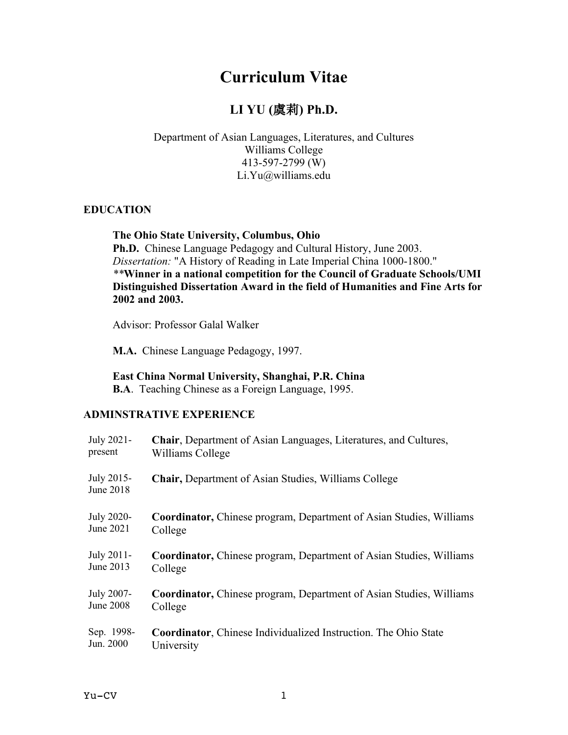# **Curriculum Vitae**

# **LI YU (**虞莉**) Ph.D.**

#### Department of Asian Languages, Literatures, and Cultures Williams College 413-597-2799 (W) Li.Yu@williams.edu

#### **EDUCATION**

#### **The Ohio State University, Columbus, Ohio**

**Ph.D.** Chinese Language Pedagogy and Cultural History, June 2003. *Dissertation:* "A History of Reading in Late Imperial China 1000-1800." *\*\****Winner in a national competition for the Council of Graduate Schools/UMI Distinguished Dissertation Award in the field of Humanities and Fine Arts for 2002 and 2003.**

Advisor: Professor Galal Walker

**M.A.** Chinese Language Pedagogy, 1997.

#### **East China Normal University, Shanghai, P.R. China**

**B.A**. Teaching Chinese as a Foreign Language, 1995.

#### **ADMINSTRATIVE EXPERIENCE**

| July 2021-              | <b>Chair</b> , Department of Asian Languages, Literatures, and Cultures,   |
|-------------------------|----------------------------------------------------------------------------|
| present                 | Williams College                                                           |
| July 2015-<br>June 2018 | Chair, Department of Asian Studies, Williams College                       |
| July 2020-              | <b>Coordinator, Chinese program, Department of Asian Studies, Williams</b> |
| June 2021               | College                                                                    |
| July 2011-              | <b>Coordinator, Chinese program, Department of Asian Studies, Williams</b> |
| June 2013               | College                                                                    |
| July 2007-              | <b>Coordinator, Chinese program, Department of Asian Studies, Williams</b> |
| June 2008               | College                                                                    |
| Sep. 1998-              | <b>Coordinator, Chinese Individualized Instruction. The Ohio State</b>     |
| Jun. 2000               | University                                                                 |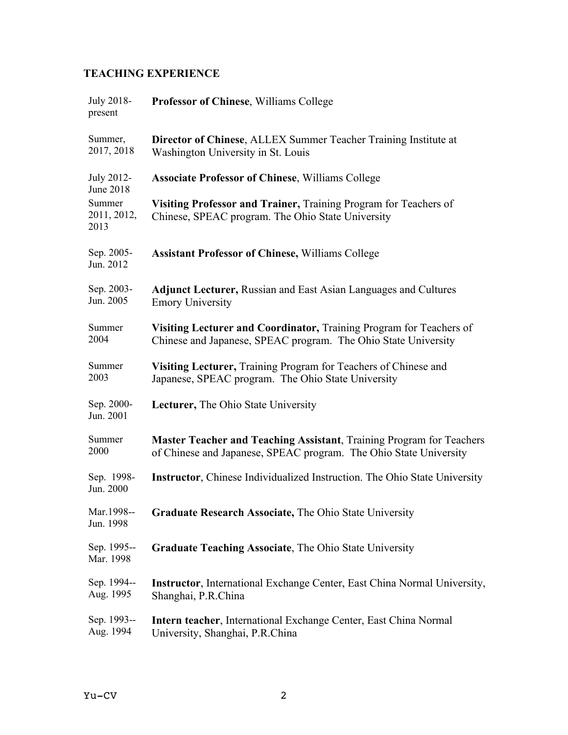# **TEACHING EXPERIENCE**

| July 2018-<br>present         | Professor of Chinese, Williams College                                                                                                    |
|-------------------------------|-------------------------------------------------------------------------------------------------------------------------------------------|
| Summer,<br>2017, 2018         | <b>Director of Chinese, ALLEX Summer Teacher Training Institute at</b><br>Washington University in St. Louis                              |
| July 2012-<br>June 2018       | <b>Associate Professor of Chinese, Williams College</b>                                                                                   |
| Summer<br>2011, 2012,<br>2013 | Visiting Professor and Trainer, Training Program for Teachers of<br>Chinese, SPEAC program. The Ohio State University                     |
| Sep. 2005-<br>Jun. 2012       | <b>Assistant Professor of Chinese, Williams College</b>                                                                                   |
| Sep. 2003-<br>Jun. 2005       | <b>Adjunct Lecturer, Russian and East Asian Languages and Cultures</b><br><b>Emory University</b>                                         |
| Summer<br>2004                | Visiting Lecturer and Coordinator, Training Program for Teachers of<br>Chinese and Japanese, SPEAC program. The Ohio State University     |
| Summer<br>2003                | <b>Visiting Lecturer, Training Program for Teachers of Chinese and</b><br>Japanese, SPEAC program. The Ohio State University              |
| Sep. 2000-<br>Jun. 2001       | <b>Lecturer, The Ohio State University</b>                                                                                                |
| Summer<br>2000                | Master Teacher and Teaching Assistant, Training Program for Teachers<br>of Chinese and Japanese, SPEAC program. The Ohio State University |
| Sep. 1998-<br>Jun. 2000       | <b>Instructor</b> , Chinese Individualized Instruction. The Ohio State University                                                         |
| Mar.1998--<br>Jun. 1998       | Graduate Research Associate, The Ohio State University                                                                                    |
| Sep. 1995--<br>Mar. 1998      | <b>Graduate Teaching Associate, The Ohio State University</b>                                                                             |
| Sep. 1994--<br>Aug. 1995      | <b>Instructor</b> , International Exchange Center, East China Normal University,<br>Shanghai, P.R.China                                   |
| Sep. 1993--<br>Aug. 1994      | <b>Intern teacher, International Exchange Center, East China Normal</b><br>University, Shanghai, P.R.China                                |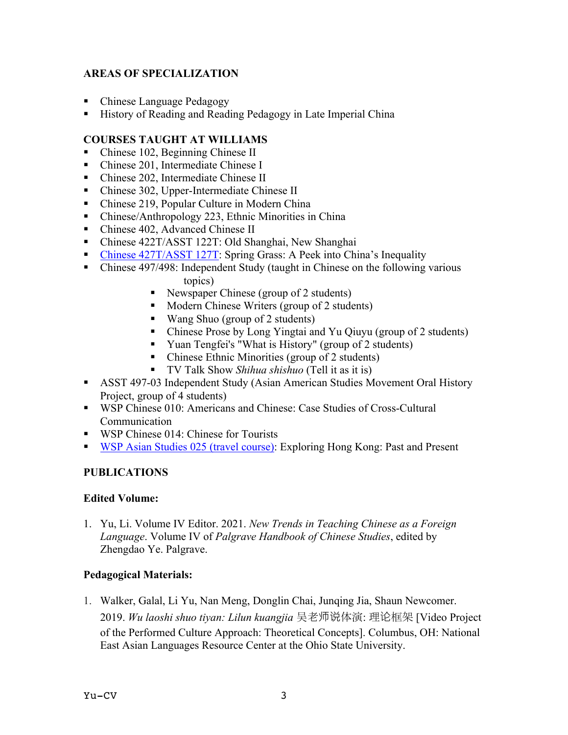## **AREAS OF SPECIALIZATION**

- **Chinese Language Pedagogy**
- ! History of Reading and Reading Pedagogy in Late Imperial China

## **COURSES TAUGHT AT WILLIAMS**

- Chinese 102, Beginning Chinese II
- Chinese 201, Intermediate Chinese I
- ! Chinese 202, Intermediate Chinese II
- ! Chinese 302, Upper-Intermediate Chinese II
- ! Chinese 219, Popular Culture in Modern China
- ! Chinese/Anthropology 223, Ethnic Minorities in China
- Chinese 402, Advanced Chinese II
- ! Chinese 422T/ASST 122T: Old Shanghai, New Shanghai
- **Chinese 427T/ASST 127T: Spring Grass: A Peek into China's Inequality**
- ! Chinese 497/498: Independent Study (taught in Chinese on the following various topics)
	- ! Newspaper Chinese (group of 2 students)
	- ! Modern Chinese Writers (group of 2 students)
	- ! Wang Shuo (group of 2 students)
	- ! Chinese Prose by Long Yingtai and Yu Qiuyu (group of 2 students)
	- ! Yuan Tengfei's "What is History" (group of 2 students)
	- Chinese Ethnic Minorities (group of 2 students)
	- ! TV Talk Show *Shihua shishuo* (Tell it as it is)
- ! ASST 497-03 Independent Study (Asian American Studies Movement Oral History Project, group of 4 students)
- ! WSP Chinese 010: Americans and Chinese: Case Studies of Cross-Cultural Communication
- WSP Chinese 014: Chinese for Tourists
- **WSP Asian Studies 025 (travel course):** Exploring Hong Kong: Past and Present

## **PUBLICATIONS**

## **Edited Volume:**

1. Yu, Li. Volume IV Editor. 2021. *New Trends in Teaching Chinese as a Foreign Language*. Volume IV of *Palgrave Handbook of Chinese Studies*, edited by Zhengdao Ye. Palgrave.

## **Pedagogical Materials:**

1. Walker, Galal, Li Yu, Nan Meng, Donglin Chai, Junqing Jia, Shaun Newcomer. 2019. *Wu laoshi shuo tiyan: Lilun kuangjia* 吴老师说体演: 理论框架 [Video Project of the Performed Culture Approach: Theoretical Concepts]. Columbus, OH: National East Asian Languages Resource Center at the Ohio State University.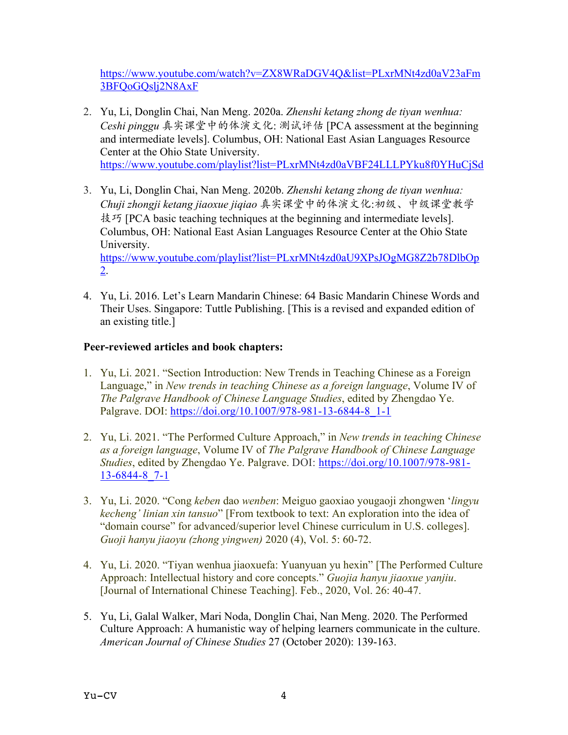https://www.youtube.com/watch?v=ZX8WRaDGV4Q&list=PLxrMNt4zd0aV23aFm 3BFQoGQslj2N8AxF

- 2. Yu, Li, Donglin Chai, Nan Meng. 2020a. *Zhenshi ketang zhong de tiyan wenhua: Ceshi pinggu* 真实课堂中的体演文化: 测试评估 [PCA assessment at the beginning and intermediate levels]. Columbus, OH: National East Asian Languages Resource Center at the Ohio State University. https://www.youtube.com/playlist?list=PLxrMNt4zd0aVBF24LLLPYku8f0YHuCjSd
- 3. Yu, Li, Donglin Chai, Nan Meng. 2020b. *Zhenshi ketang zhong de tiyan wenhua: Chuji zhongji ketang jiaoxue jiqiao* 真实课堂中的体演文化:初级、中级课堂教学 技巧 [PCA basic teaching techniques at the beginning and intermediate levels]. Columbus, OH: National East Asian Languages Resource Center at the Ohio State University. https://www.youtube.com/playlist?list=PLxrMNt4zd0aU9XPsJOgMG8Z2b78DlbOp 2.
- 4. Yu, Li. 2016. Let's Learn Mandarin Chinese: 64 Basic Mandarin Chinese Words and Their Uses. Singapore: Tuttle Publishing. [This is a revised and expanded edition of an existing title.]

## **Peer-reviewed articles and book chapters:**

- 1. Yu, Li. 2021. "Section Introduction: New Trends in Teaching Chinese as a Foreign Language," in *New trends in teaching Chinese as a foreign language*, Volume IV of *The Palgrave Handbook of Chinese Language Studies*, edited by Zhengdao Ye. Palgrave. DOI: https://doi.org/10.1007/978-981-13-6844-8\_1-1
- 2. Yu, Li. 2021. "The Performed Culture Approach," in *New trends in teaching Chinese as a foreign language*, Volume IV of *The Palgrave Handbook of Chinese Language Studies*, edited by Zhengdao Ye. Palgrave. DOI: https://doi.org/10.1007/978-981- 13-6844-8\_7-1
- 3. Yu, Li. 2020. "Cong *keben* dao *wenben*: Meiguo gaoxiao yougaoji zhongwen '*lingyu kecheng' linian xin tansuo*" [From textbook to text: An exploration into the idea of "domain course" for advanced/superior level Chinese curriculum in U.S. colleges]. *Guoji hanyu jiaoyu (zhong yingwen)* 2020 (4), Vol. 5: 60-72.
- 4. Yu, Li. 2020. "Tiyan wenhua jiaoxuefa: Yuanyuan yu hexin" [The Performed Culture Approach: Intellectual history and core concepts." *Guojia hanyu jiaoxue yanjiu*. [Journal of International Chinese Teaching]. Feb., 2020, Vol. 26: 40-47.
- 5. Yu, Li, Galal Walker, Mari Noda, Donglin Chai, Nan Meng. 2020. The Performed Culture Approach: A humanistic way of helping learners communicate in the culture. *American Journal of Chinese Studies* 27 (October 2020): 139-163.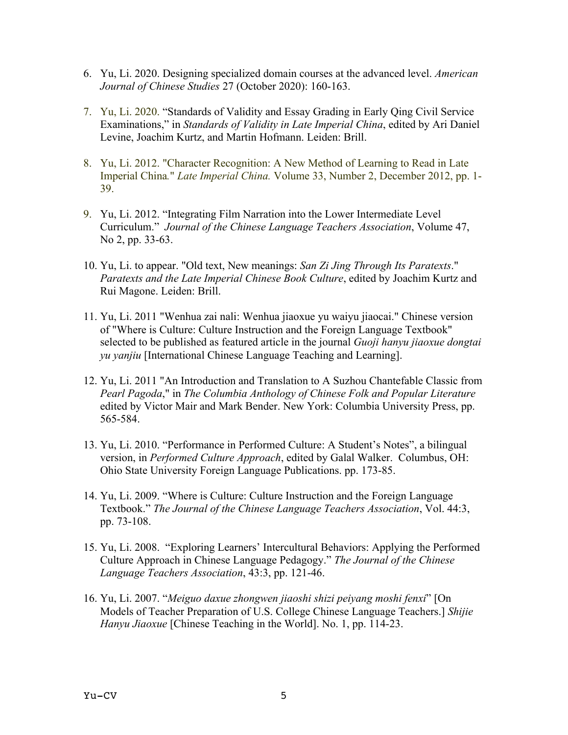- 6. Yu, Li. 2020. Designing specialized domain courses at the advanced level. *American Journal of Chinese Studies* 27 (October 2020): 160-163.
- 7. Yu, Li. 2020. "Standards of Validity and Essay Grading in Early Qing Civil Service Examinations," in *Standards of Validity in Late Imperial China*, edited by Ari Daniel Levine, Joachim Kurtz, and Martin Hofmann. Leiden: Brill.
- 8. Yu, Li. 2012. "Character Recognition: A New Method of Learning to Read in Late Imperial China*.*" *Late Imperial China.* Volume 33, Number 2, December 2012, pp. 1- 39.
- 9. Yu, Li. 2012. "Integrating Film Narration into the Lower Intermediate Level Curriculum." *Journal of the Chinese Language Teachers Association*, Volume 47, No 2, pp. 33-63.
- 10. Yu, Li. to appear. "Old text, New meanings: *San Zi Jing Through Its Paratexts*." *Paratexts and the Late Imperial Chinese Book Culture*, edited by Joachim Kurtz and Rui Magone. Leiden: Brill.
- 11. Yu, Li. 2011 "Wenhua zai nali: Wenhua jiaoxue yu waiyu jiaocai." Chinese version of "Where is Culture: Culture Instruction and the Foreign Language Textbook" selected to be published as featured article in the journal *Guoji hanyu jiaoxue dongtai yu yanjiu* [International Chinese Language Teaching and Learning].
- 12. Yu, Li. 2011 "An Introduction and Translation to A Suzhou Chantefable Classic from *Pearl Pagoda*," in *The Columbia Anthology of Chinese Folk and Popular Literature* edited by Victor Mair and Mark Bender. New York: Columbia University Press, pp. 565-584.
- 13. Yu, Li. 2010. "Performance in Performed Culture: A Student's Notes", a bilingual version, in *Performed Culture Approach*, edited by Galal Walker. Columbus, OH: Ohio State University Foreign Language Publications. pp. 173-85.
- 14. Yu, Li. 2009. "Where is Culture: Culture Instruction and the Foreign Language Textbook." *The Journal of the Chinese Language Teachers Association*, Vol. 44:3, pp. 73-108.
- 15. Yu, Li. 2008. "Exploring Learners' Intercultural Behaviors: Applying the Performed Culture Approach in Chinese Language Pedagogy." *The Journal of the Chinese Language Teachers Association*, 43:3, pp. 121-46.
- 16. Yu, Li. 2007. "*Meiguo daxue zhongwen jiaoshi shizi peiyang moshi fenxi*" [On Models of Teacher Preparation of U.S. College Chinese Language Teachers.] *Shijie Hanyu Jiaoxue* [Chinese Teaching in the World]. No. 1, pp. 114-23.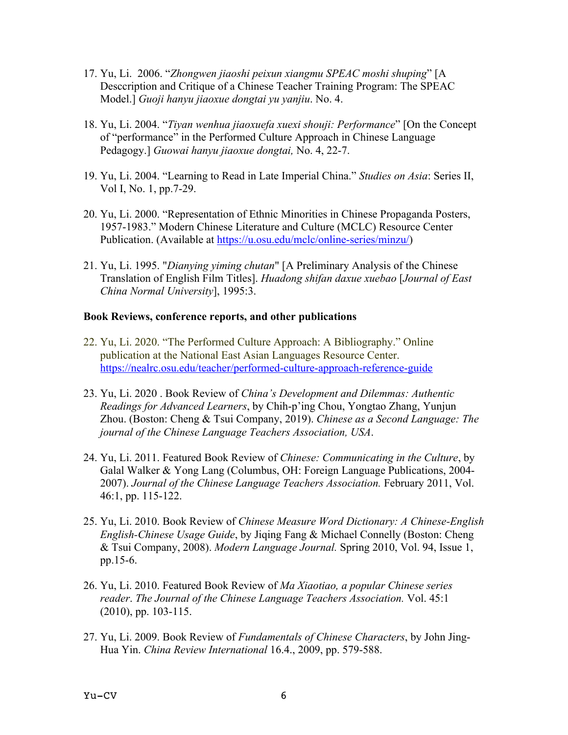- 17. Yu, Li. 2006. "*Zhongwen jiaoshi peixun xiangmu SPEAC moshi shuping*" [A Desccription and Critique of a Chinese Teacher Training Program: The SPEAC Model.] *Guoji hanyu jiaoxue dongtai yu yanjiu*. No. 4.
- 18. Yu, Li. 2004. "*Tiyan wenhua jiaoxuefa xuexi shouji: Performance*" [On the Concept of "performance" in the Performed Culture Approach in Chinese Language Pedagogy.] *Guowai hanyu jiaoxue dongtai,* No. 4, 22-7.
- 19. Yu, Li. 2004. "Learning to Read in Late Imperial China." *Studies on Asia*: Series II, Vol I, No. 1, pp.7-29.
- 20. Yu, Li. 2000. "Representation of Ethnic Minorities in Chinese Propaganda Posters, 1957-1983." Modern Chinese Literature and Culture (MCLC) Resource Center Publication. (Available at https://u.osu.edu/mclc/online-series/minzu/)
- 21. Yu, Li. 1995. "*Dianying yiming chutan*" [A Preliminary Analysis of the Chinese Translation of English Film Titles]. *Huadong shifan daxue xuebao* [*Journal of East China Normal University*], 1995:3.

#### **Book Reviews, conference reports, and other publications**

- 22. Yu, Li. 2020. "The Performed Culture Approach: A Bibliography." Online publication at the National East Asian Languages Resource Center. https://nealrc.osu.edu/teacher/performed-culture-approach-reference-guide
- 23. Yu, Li. 2020 . Book Review of *China's Development and Dilemmas: Authentic Readings for Advanced Learners*, by Chih-p'ing Chou, Yongtao Zhang, Yunjun Zhou. (Boston: Cheng & Tsui Company, 2019). *Chinese as a Second Language: The journal of the Chinese Language Teachers Association, USA*.
- 24. Yu, Li. 2011. Featured Book Review of *Chinese: Communicating in the Culture*, by Galal Walker & Yong Lang (Columbus, OH: Foreign Language Publications, 2004- 2007). *Journal of the Chinese Language Teachers Association.* February 2011, Vol. 46:1, pp. 115-122.
- 25. Yu, Li. 2010. Book Review of *Chinese Measure Word Dictionary: A Chinese-English English-Chinese Usage Guide*, by Jiqing Fang & Michael Connelly (Boston: Cheng & Tsui Company, 2008). *Modern Language Journal.* Spring 2010, Vol. 94, Issue 1, pp.15-6.
- 26. Yu, Li. 2010. Featured Book Review of *Ma Xiaotiao, a popular Chinese series reader*. *The Journal of the Chinese Language Teachers Association.* Vol. 45:1 (2010), pp. 103-115.
- 27. Yu, Li. 2009. Book Review of *Fundamentals of Chinese Characters*, by John Jing-Hua Yin. *China Review International* 16.4., 2009, pp. 579-588.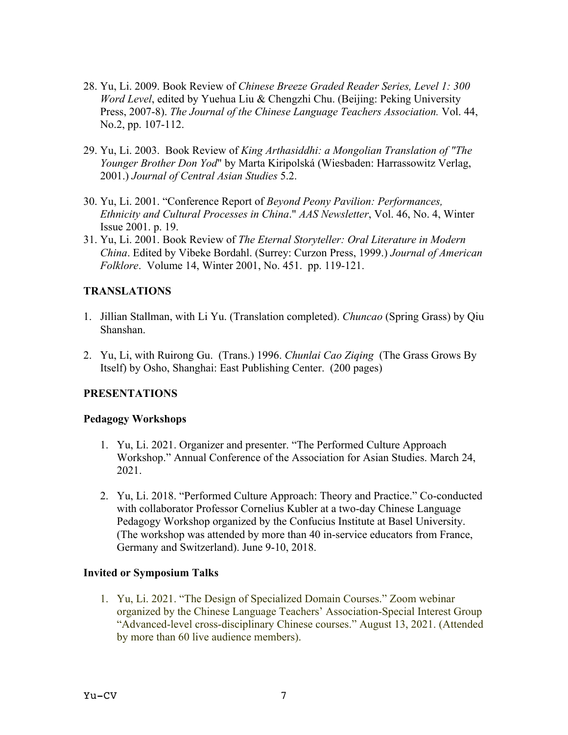- 28. Yu, Li. 2009. Book Review of *Chinese Breeze Graded Reader Series, Level 1: 300 Word Level*, edited by Yuehua Liu & Chengzhi Chu. (Beijing: Peking University Press, 2007-8). *The Journal of the Chinese Language Teachers Association.* Vol. 44, No.2, pp. 107-112.
- 29. Yu, Li. 2003. Book Review of *King Arthasiddhi: a Mongolian Translation of "The Younger Brother Don Yod*" by Marta Kiripolská (Wiesbaden: Harrassowitz Verlag, 2001.) *Journal of Central Asian Studies* 5.2.
- 30. Yu, Li. 2001. "Conference Report of *Beyond Peony Pavilion: Performances, Ethnicity and Cultural Processes in China*." *AAS Newsletter*, Vol. 46, No. 4, Winter Issue 2001. p. 19.
- 31. Yu, Li. 2001. Book Review of *The Eternal Storyteller: Oral Literature in Modern China*. Edited by Vibeke Bordahl. (Surrey: Curzon Press, 1999.) *Journal of American Folklore*. Volume 14, Winter 2001, No. 451. pp. 119-121.

## **TRANSLATIONS**

- 1. Jillian Stallman, with Li Yu. (Translation completed). *Chuncao* (Spring Grass) by Qiu Shanshan.
- 2. Yu, Li, with Ruirong Gu. (Trans.) 1996. *Chunlai Cao Ziqing* (The Grass Grows By Itself) by Osho, Shanghai: East Publishing Center. (200 pages)

## **PRESENTATIONS**

## **Pedagogy Workshops**

- 1. Yu, Li. 2021. Organizer and presenter. "The Performed Culture Approach Workshop." Annual Conference of the Association for Asian Studies. March 24, 2021.
- 2. Yu, Li. 2018. "Performed Culture Approach: Theory and Practice." Co-conducted with collaborator Professor Cornelius Kubler at a two-day Chinese Language Pedagogy Workshop organized by the Confucius Institute at Basel University. (The workshop was attended by more than 40 in-service educators from France, Germany and Switzerland). June 9-10, 2018.

#### **Invited or Symposium Talks**

1. Yu, Li. 2021. "The Design of Specialized Domain Courses." Zoom webinar organized by the Chinese Language Teachers' Association-Special Interest Group "Advanced-level cross-disciplinary Chinese courses." August 13, 2021. (Attended by more than 60 live audience members).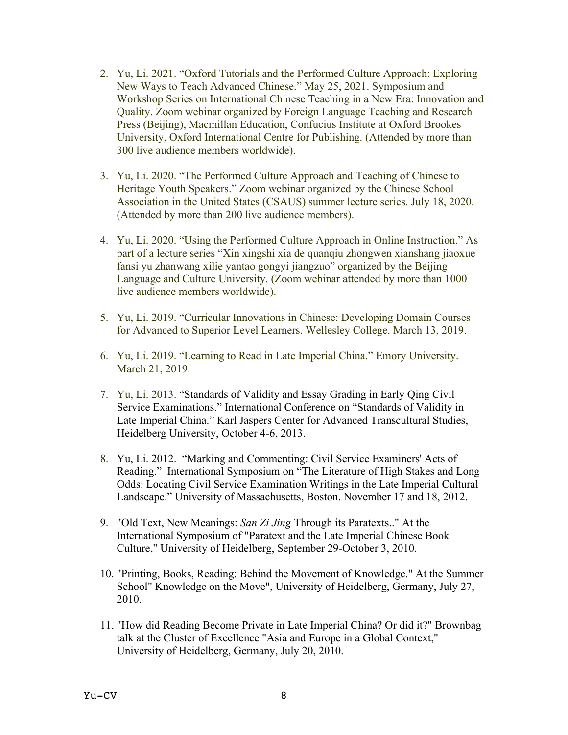- 2. Yu, Li. 2021. "Oxford Tutorials and the Performed Culture Approach: Exploring New Ways to Teach Advanced Chinese." May 25, 2021. Symposium and Workshop Series on International Chinese Teaching in a New Era: Innovation and Quality. Zoom webinar organized by Foreign Language Teaching and Research Press (Beijing), Macmillan Education, Confucius Institute at Oxford Brookes University, Oxford International Centre for Publishing. (Attended by more than 300 live audience members worldwide).
- 3. Yu, Li. 2020. "The Performed Culture Approach and Teaching of Chinese to Heritage Youth Speakers." Zoom webinar organized by the Chinese School Association in the United States (CSAUS) summer lecture series. July 18, 2020. (Attended by more than 200 live audience members).
- 4. Yu, Li. 2020. "Using the Performed Culture Approach in Online Instruction." As part of a lecture series "Xin xingshi xia de quanqiu zhongwen xianshang jiaoxue fansi yu zhanwang xilie yantao gongyi jiangzuo" organized by the Beijing Language and Culture University. (Zoom webinar attended by more than 1000 live audience members worldwide).
- 5. Yu, Li. 2019. "Curricular Innovations in Chinese: Developing Domain Courses for Advanced to Superior Level Learners. Wellesley College. March 13, 2019.
- 6. Yu, Li. 2019. "Learning to Read in Late Imperial China." Emory University. March 21, 2019.
- 7. Yu, Li. 2013. "Standards of Validity and Essay Grading in Early Qing Civil Service Examinations." International Conference on "Standards of Validity in Late Imperial China." Karl Jaspers Center for Advanced Transcultural Studies, Heidelberg University, October 4-6, 2013.
- 8. Yu, Li. 2012. "Marking and Commenting: Civil Service Examiners' Acts of Reading." International Symposium on "The Literature of High Stakes and Long Odds: Locating Civil Service Examination Writings in the Late Imperial Cultural Landscape." University of Massachusetts, Boston. November 17 and 18, 2012.
- 9. "Old Text, New Meanings: *San Zi Jing* Through its Paratexts.." At the International Symposium of "Paratext and the Late Imperial Chinese Book Culture," University of Heidelberg, September 29-October 3, 2010.
- 10. "Printing, Books, Reading: Behind the Movement of Knowledge." At the Summer School" Knowledge on the Move", University of Heidelberg, Germany, July 27, 2010.
- 11. "How did Reading Become Private in Late Imperial China? Or did it?" Brownbag talk at the Cluster of Excellence "Asia and Europe in a Global Context," University of Heidelberg, Germany, July 20, 2010.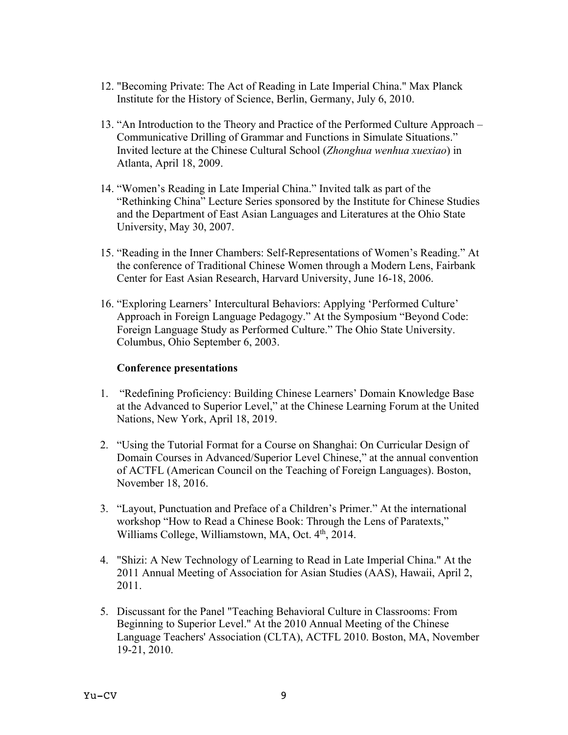- 12. "Becoming Private: The Act of Reading in Late Imperial China." Max Planck Institute for the History of Science, Berlin, Germany, July 6, 2010.
- 13. "An Introduction to the Theory and Practice of the Performed Culture Approach Communicative Drilling of Grammar and Functions in Simulate Situations." Invited lecture at the Chinese Cultural School (*Zhonghua wenhua xuexiao*) in Atlanta, April 18, 2009.
- 14. "Women's Reading in Late Imperial China." Invited talk as part of the "Rethinking China" Lecture Series sponsored by the Institute for Chinese Studies and the Department of East Asian Languages and Literatures at the Ohio State University, May 30, 2007.
- 15. "Reading in the Inner Chambers: Self-Representations of Women's Reading." At the conference of Traditional Chinese Women through a Modern Lens, Fairbank Center for East Asian Research, Harvard University, June 16-18, 2006.
- 16. "Exploring Learners' Intercultural Behaviors: Applying 'Performed Culture' Approach in Foreign Language Pedagogy." At the Symposium "Beyond Code: Foreign Language Study as Performed Culture." The Ohio State University. Columbus, Ohio September 6, 2003.

#### **Conference presentations**

- 1. "Redefining Proficiency: Building Chinese Learners' Domain Knowledge Base at the Advanced to Superior Level," at the Chinese Learning Forum at the United Nations, New York, April 18, 2019.
- 2. "Using the Tutorial Format for a Course on Shanghai: On Curricular Design of Domain Courses in Advanced/Superior Level Chinese," at the annual convention of ACTFL (American Council on the Teaching of Foreign Languages). Boston, November 18, 2016.
- 3. "Layout, Punctuation and Preface of a Children's Primer." At the international workshop "How to Read a Chinese Book: Through the Lens of Paratexts," Williams College, Williamstown, MA, Oct. 4<sup>th</sup>, 2014.
- 4. "Shizi: A New Technology of Learning to Read in Late Imperial China." At the 2011 Annual Meeting of Association for Asian Studies (AAS), Hawaii, April 2, 2011.
- 5. Discussant for the Panel "Teaching Behavioral Culture in Classrooms: From Beginning to Superior Level." At the 2010 Annual Meeting of the Chinese Language Teachers' Association (CLTA), ACTFL 2010. Boston, MA, November 19-21, 2010.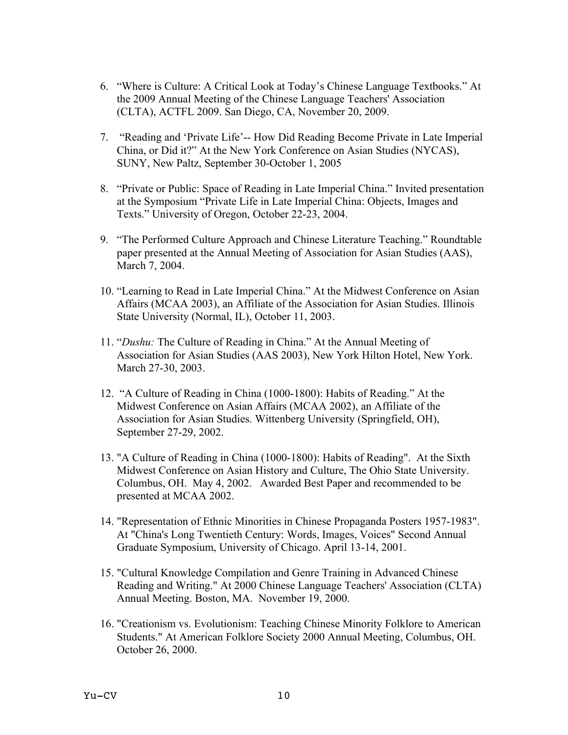- 6. "Where is Culture: A Critical Look at Today's Chinese Language Textbooks." At the 2009 Annual Meeting of the Chinese Language Teachers' Association (CLTA), ACTFL 2009. San Diego, CA, November 20, 2009.
- 7. "Reading and 'Private Life'-- How Did Reading Become Private in Late Imperial China, or Did it?" At the New York Conference on Asian Studies (NYCAS), SUNY, New Paltz, September 30-October 1, 2005
- 8. "Private or Public: Space of Reading in Late Imperial China." Invited presentation at the Symposium "Private Life in Late Imperial China: Objects, Images and Texts." University of Oregon, October 22-23, 2004.
- 9. "The Performed Culture Approach and Chinese Literature Teaching." Roundtable paper presented at the Annual Meeting of Association for Asian Studies (AAS), March 7, 2004.
- 10. "Learning to Read in Late Imperial China." At the Midwest Conference on Asian Affairs (MCAA 2003), an Affiliate of the Association for Asian Studies. Illinois State University (Normal, IL), October 11, 2003.
- 11. "*Dushu:* The Culture of Reading in China." At the Annual Meeting of Association for Asian Studies (AAS 2003), New York Hilton Hotel, New York. March 27-30, 2003.
- 12. "A Culture of Reading in China (1000-1800): Habits of Reading." At the Midwest Conference on Asian Affairs (MCAA 2002), an Affiliate of the Association for Asian Studies. Wittenberg University (Springfield, OH), September 27-29, 2002.
- 13. "A Culture of Reading in China (1000-1800): Habits of Reading". At the Sixth Midwest Conference on Asian History and Culture, The Ohio State University. Columbus, OH. May 4, 2002. Awarded Best Paper and recommended to be presented at MCAA 2002.
- 14. "Representation of Ethnic Minorities in Chinese Propaganda Posters 1957-1983". At "China's Long Twentieth Century: Words, Images, Voices" Second Annual Graduate Symposium, University of Chicago. April 13-14, 2001.
- 15. "Cultural Knowledge Compilation and Genre Training in Advanced Chinese Reading and Writing." At 2000 Chinese Language Teachers' Association (CLTA) Annual Meeting. Boston, MA. November 19, 2000.
- 16. "Creationism vs. Evolutionism: Teaching Chinese Minority Folklore to American Students." At American Folklore Society 2000 Annual Meeting, Columbus, OH. October 26, 2000.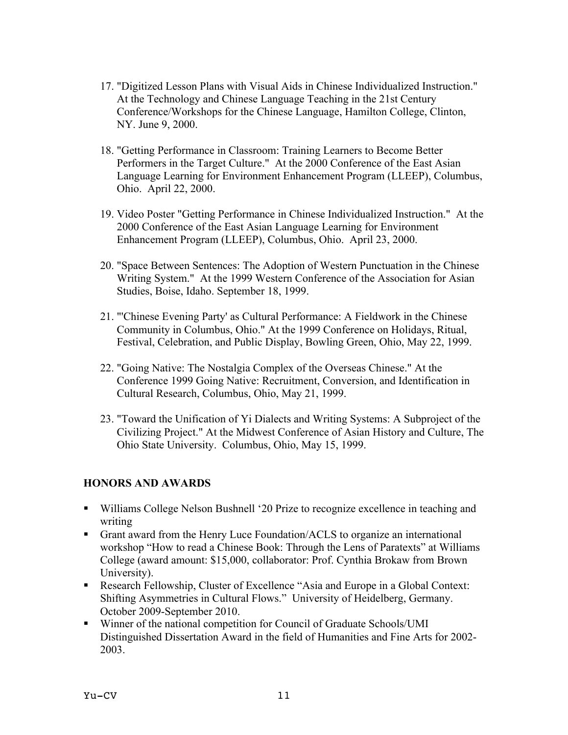- 17. "Digitized Lesson Plans with Visual Aids in Chinese Individualized Instruction." At the Technology and Chinese Language Teaching in the 21st Century Conference/Workshops for the Chinese Language, Hamilton College, Clinton, NY. June 9, 2000.
- 18. "Getting Performance in Classroom: Training Learners to Become Better Performers in the Target Culture." At the 2000 Conference of the East Asian Language Learning for Environment Enhancement Program (LLEEP), Columbus, Ohio. April 22, 2000.
- 19. Video Poster "Getting Performance in Chinese Individualized Instruction." At the 2000 Conference of the East Asian Language Learning for Environment Enhancement Program (LLEEP), Columbus, Ohio. April 23, 2000.
- 20. "Space Between Sentences: The Adoption of Western Punctuation in the Chinese Writing System." At the 1999 Western Conference of the Association for Asian Studies, Boise, Idaho. September 18, 1999.
- 21. "'Chinese Evening Party' as Cultural Performance: A Fieldwork in the Chinese Community in Columbus, Ohio." At the 1999 Conference on Holidays, Ritual, Festival, Celebration, and Public Display, Bowling Green, Ohio, May 22, 1999.
- 22. "Going Native: The Nostalgia Complex of the Overseas Chinese." At the Conference 1999 Going Native: Recruitment, Conversion, and Identification in Cultural Research, Columbus, Ohio, May 21, 1999.
- 23. "Toward the Unification of Yi Dialects and Writing Systems: A Subproject of the Civilizing Project." At the Midwest Conference of Asian History and Culture, The Ohio State University. Columbus, Ohio, May 15, 1999.

## **HONORS AND AWARDS**

- ! Williams College Nelson Bushnell '20 Prize to recognize excellence in teaching and writing
- ! Grant award from the Henry Luce Foundation/ACLS to organize an international workshop "How to read a Chinese Book: Through the Lens of Paratexts" at Williams College (award amount: \$15,000, collaborator: Prof. Cynthia Brokaw from Brown University).
- ! Research Fellowship, Cluster of Excellence "Asia and Europe in a Global Context: Shifting Asymmetries in Cultural Flows." University of Heidelberg, Germany. October 2009-September 2010.
- ! Winner of the national competition for Council of Graduate Schools/UMI Distinguished Dissertation Award in the field of Humanities and Fine Arts for 2002- 2003.